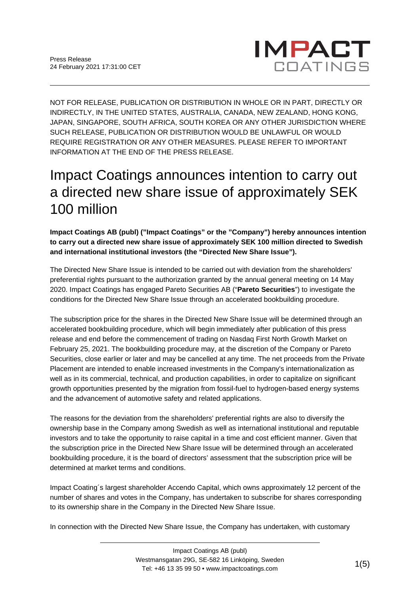

NOT FOR RELEASE, PUBLICATION OR DISTRIBUTION IN WHOLE OR IN PART, DIRECTLY OR INDIRECTLY, IN THE UNITED STATES, AUSTRALIA, CANADA, NEW ZEALAND, HONG KONG, JAPAN, SINGAPORE, SOUTH AFRICA, SOUTH KOREA OR ANY OTHER JURISDICTION WHERE SUCH RELEASE, PUBLICATION OR DISTRIBUTION WOULD BE UNLAWFUL OR WOULD REQUIRE REGISTRATION OR ANY OTHER MEASURES. PLEASE REFER TO IMPORTANT INFORMATION AT THE END OF THE PRESS RELEASE.

# Impact Coatings announces intention to carry out a directed new share issue of approximately SEK 100 million

**Impact Coatings AB (publ) ("Impact Coatings" or the "Company") hereby announces intention to carry out a directed new share issue of approximately SEK 100 million directed to Swedish and international institutional investors (the "Directed New Share Issue").**

The Directed New Share Issue is intended to be carried out with deviation from the shareholders' preferential rights pursuant to the authorization granted by the annual general meeting on 14 May 2020. Impact Coatings has engaged Pareto Securities AB ("**Pareto Securities**") to investigate the conditions for the Directed New Share Issue through an accelerated bookbuilding procedure.

The subscription price for the shares in the Directed New Share Issue will be determined through an accelerated bookbuilding procedure, which will begin immediately after publication of this press release and end before the commencement of trading on Nasdaq First North Growth Market on February 25, 2021. The bookbuilding procedure may, at the discretion of the Company or Pareto Securities, close earlier or later and may be cancelled at any time. The net proceeds from the Private Placement are intended to enable increased investments in the Company's internationalization as well as in its commercial, technical, and production capabilities, in order to capitalize on significant growth opportunities presented by the migration from fossil-fuel to hydrogen-based energy systems and the advancement of automotive safety and related applications.

The reasons for the deviation from the shareholders' preferential rights are also to diversify the ownership base in the Company among Swedish as well as international institutional and reputable investors and to take the opportunity to raise capital in a time and cost efficient manner. Given that the subscription price in the Directed New Share Issue will be determined through an accelerated bookbuilding procedure, it is the board of directors' assessment that the subscription price will be determined at market terms and conditions.

Impact Coating´s largest shareholder Accendo Capital, which owns approximately 12 percent of the number of shares and votes in the Company, has undertaken to subscribe for shares corresponding to its ownership share in the Company in the Directed New Share Issue.

In connection with the Directed New Share Issue, the Company has undertaken, with customary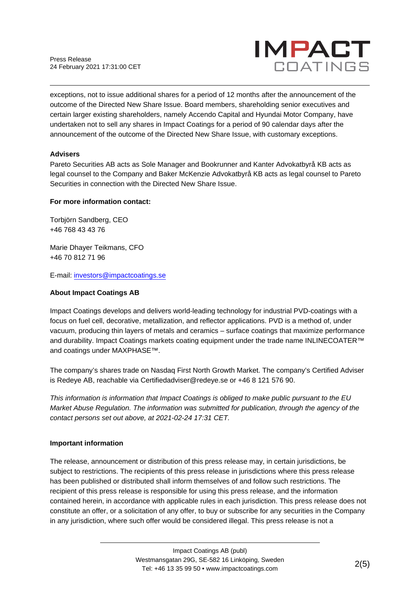Press Release 24 February 2021 17:31:00 CET



exceptions, not to issue additional shares for a period of 12 months after the announcement of the outcome of the Directed New Share Issue. Board members, shareholding senior executives and certain larger existing shareholders, namely Accendo Capital and Hyundai Motor Company, have undertaken not to sell any shares in Impact Coatings for a period of 90 calendar days after the announcement of the outcome of the Directed New Share Issue, with customary exceptions.

# **Advisers**

Pareto Securities AB acts as Sole Manager and Bookrunner and Kanter Advokatbyrå KB acts as legal counsel to the Company and Baker McKenzie Advokatbyrå KB acts as legal counsel to Pareto Securities in connection with the Directed New Share Issue.

### **For more information contact:**

Torbjörn Sandberg, CEO +46 768 43 43 76

Marie Dhayer Teikmans, CFO +46 70 812 71 96

E-mail: investors@impactcoatings.se

### **About Impact Coatings AB**

Impact Coatings develops and delivers world-leading technology for industrial PVD-coatings with a focus on fuel cell, decorative, metallization, and reflector applications. PVD is a method of, under vacuum, producing thin layers of metals and ceramics – surface coatings that maximize performance and durability. Impact Coatings markets coating equipment under the trade name INLINECOATER™ and coatings under MAXPHASE™.

The company's shares trade on Nasdaq First North Growth Market. The company's Certified Adviser is Redeye AB, reachable via Certifiedadviser@redeye.se or +46 8 121 576 90.

*This information is information that Impact Coatings is obliged to make public pursuant to the EU Market Abuse Regulation. The information was submitted for publication, through the agency of the contact persons set out above, at 2021-02-24 17:31 CET.*

### **Important information**

The release, announcement or distribution of this press release may, in certain jurisdictions, be subject to restrictions. The recipients of this press release in jurisdictions where this press release has been published or distributed shall inform themselves of and follow such restrictions. The recipient of this press release is responsible for using this press release, and the information contained herein, in accordance with applicable rules in each jurisdiction. This press release does not constitute an offer, or a solicitation of any offer, to buy or subscribe for any securities in the Company in any jurisdiction, where such offer would be considered illegal. This press release is not a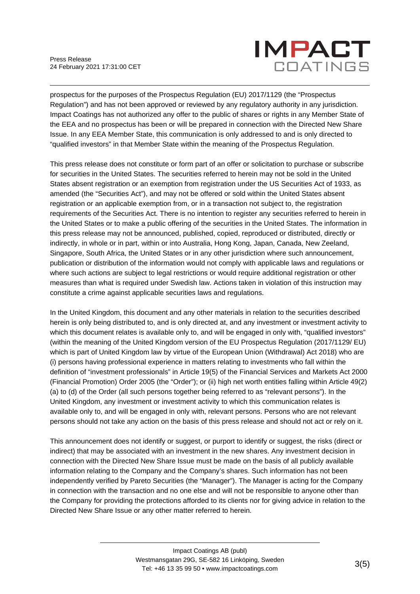

prospectus for the purposes of the Prospectus Regulation (EU) 2017/1129 (the "Prospectus Regulation") and has not been approved or reviewed by any regulatory authority in any jurisdiction. Impact Coatings has not authorized any offer to the public of shares or rights in any Member State of the EEA and no prospectus has been or will be prepared in connection with the Directed New Share Issue. In any EEA Member State, this communication is only addressed to and is only directed to "qualified investors" in that Member State within the meaning of the Prospectus Regulation.

This press release does not constitute or form part of an offer or solicitation to purchase or subscribe for securities in the United States. The securities referred to herein may not be sold in the United States absent registration or an exemption from registration under the US Securities Act of 1933, as amended (the "Securities Act"), and may not be offered or sold within the United States absent registration or an applicable exemption from, or in a transaction not subject to, the registration requirements of the Securities Act. There is no intention to register any securities referred to herein in the United States or to make a public offering of the securities in the United States. The information in this press release may not be announced, published, copied, reproduced or distributed, directly or indirectly, in whole or in part, within or into Australia, Hong Kong, Japan, Canada, New Zeeland, Singapore, South Africa, the United States or in any other jurisdiction where such announcement, publication or distribution of the information would not comply with applicable laws and regulations or where such actions are subject to legal restrictions or would require additional registration or other measures than what is required under Swedish law. Actions taken in violation of this instruction may constitute a crime against applicable securities laws and regulations.

In the United Kingdom, this document and any other materials in relation to the securities described herein is only being distributed to, and is only directed at, and any investment or investment activity to which this document relates is available only to, and will be engaged in only with, "qualified investors" (within the meaning of the United Kingdom version of the EU Prospectus Regulation (2017/1129/ EU) which is part of United Kingdom law by virtue of the European Union (Withdrawal) Act 2018) who are (i) persons having professional experience in matters relating to investments who fall within the definition of "investment professionals" in Article 19(5) of the Financial Services and Markets Act 2000 (Financial Promotion) Order 2005 (the "Order"); or (ii) high net worth entities falling within Article 49(2) (a) to (d) of the Order (all such persons together being referred to as "relevant persons"). In the United Kingdom, any investment or investment activity to which this communication relates is available only to, and will be engaged in only with, relevant persons. Persons who are not relevant persons should not take any action on the basis of this press release and should not act or rely on it.

This announcement does not identify or suggest, or purport to identify or suggest, the risks (direct or indirect) that may be associated with an investment in the new shares. Any investment decision in connection with the Directed New Share Issue must be made on the basis of all publicly available information relating to the Company and the Company's shares. Such information has not been independently verified by Pareto Securities (the "Manager"). The Manager is acting for the Company in connection with the transaction and no one else and will not be responsible to anyone other than the Company for providing the protections afforded to its clients nor for giving advice in relation to the Directed New Share Issue or any other matter referred to herein.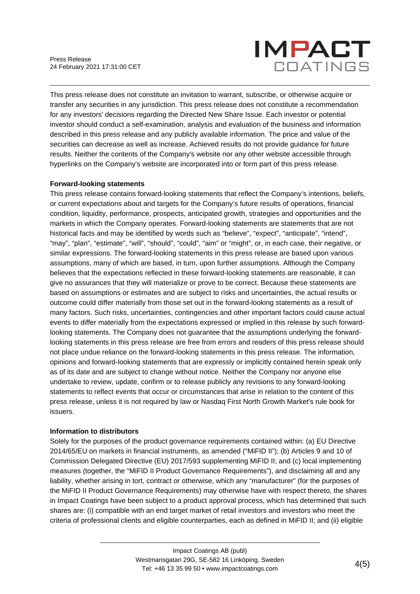

This press release does not constitute an invitation to warrant, subscribe, or otherwise acquire or transfer any securities in any jurisdiction. This press release does not constitute a recommendation for any investors' decisions regarding the Directed New Share Issue. Each investor or potential investor should conduct a self-examination, analysis and evaluation of the business and information described in this press release and any publicly available information. The price and value of the securities can decrease as well as increase. Achieved results do not provide guidance for future results. Neither the contents of the Company's website nor any other website accessible through hyperlinks on the Company's website are incorporated into or form part of this press release.

# **Forward-looking statements**

This press release contains forward-looking statements that reflect the Company's intentions, beliefs, or current expectations about and targets for the Company's future results of operations, financial condition, liquidity, performance, prospects, anticipated growth, strategies and opportunities and the markets in which the Company operates. Forward-looking statements are statements that are not historical facts and may be identified by words such as "believe", "expect", "anticipate", "intend", "may", "plan", "estimate", "will", "should", "could", "aim" or "might", or, in each case, their negative, or similar expressions. The forward-looking statements in this press release are based upon various assumptions, many of which are based, in turn, upon further assumptions. Although the Company believes that the expectations reflected in these forward-looking statements are reasonable, it can give no assurances that they will materialize or prove to be correct. Because these statements are based on assumptions or estimates and are subject to risks and uncertainties, the actual results or outcome could differ materially from those set out in the forward-looking statements as a result of many factors. Such risks, uncertainties, contingencies and other important factors could cause actual events to differ materially from the expectations expressed or implied in this release by such forwardlooking statements. The Company does not guarantee that the assumptions underlying the forwardlooking statements in this press release are free from errors and readers of this press release should not place undue reliance on the forward-looking statements in this press release. The information, opinions and forward-looking statements that are expressly or implicitly contained herein speak only as of its date and are subject to change without notice. Neither the Company nor anyone else undertake to review, update, confirm or to release publicly any revisions to any forward-looking statements to reflect events that occur or circumstances that arise in relation to the content of this press release, unless it is not required by law or Nasdaq First North Growth Market's rule book for issuers.

### **Information to distributors**

Solely for the purposes of the product governance requirements contained within: (a) EU Directive 2014/65/EU on markets in financial instruments, as amended ("MiFID II"); (b) Articles 9 and 10 of Commission Delegated Directive (EU) 2017/593 supplementing MiFID II; and (c) local implementing measures (together, the "MiFID II Product Governance Requirements"), and disclaiming all and any liability, whether arising in tort, contract or otherwise, which any "manufacturer" (for the purposes of the MiFID II Product Governance Requirements) may otherwise have with respect thereto, the shares in Impact Coatings have been subject to a product approval process, which has determined that such shares are: (i) compatible with an end target market of retail investors and investors who meet the criteria of professional clients and eligible counterparties, each as defined in MiFID II; and (ii) eligible